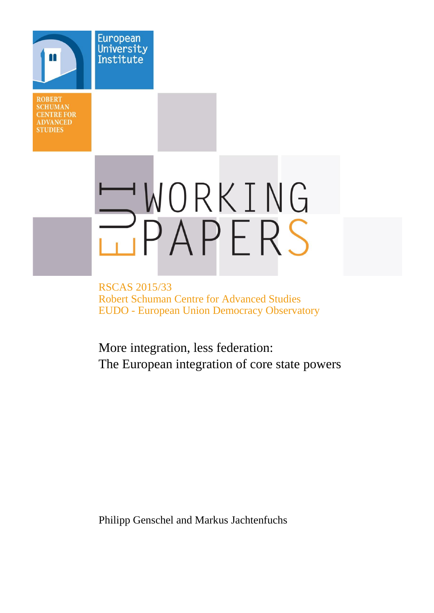**ROBERT SCHUMAN CENTRE FOR ADVANCED STUDIES** 

**European** University Institute

# WORKING

RSCAS 2015/33 Robert Schuman Centre for Advanced Studies EUDO - European Union Democracy Observatory

More integration, less federation: The European integration of core state powers

Philipp Genschel and Markus Jachtenfuchs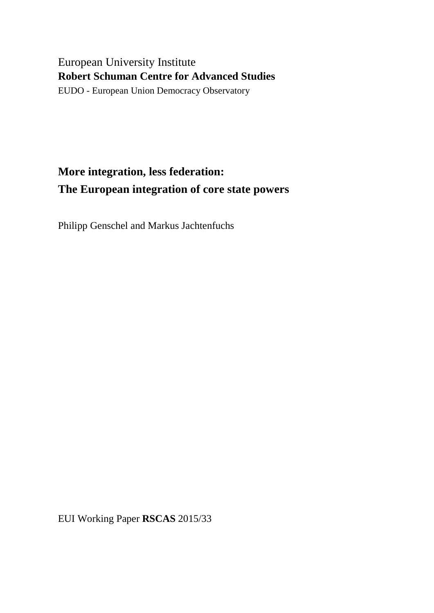# European University Institute **Robert Schuman Centre for Advanced Studies**

EUDO - European Union Democracy Observatory

# **More integration, less federation: The European integration of core state powers**

Philipp Genschel and Markus Jachtenfuchs

EUI Working Paper **RSCAS** 2015/33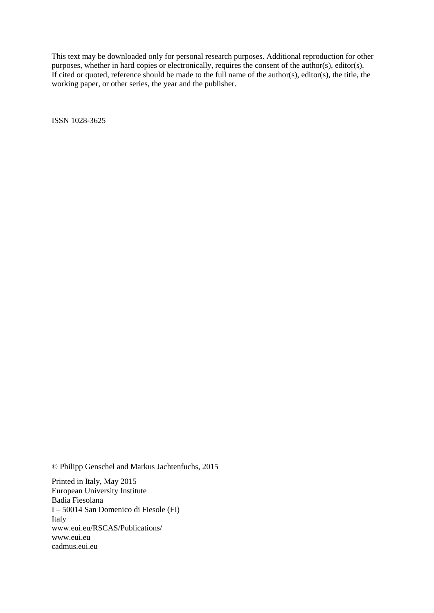This text may be downloaded only for personal research purposes. Additional reproduction for other purposes, whether in hard copies or electronically, requires the consent of the author(s), editor(s). If cited or quoted, reference should be made to the full name of the author(s), editor(s), the title, the working paper, or other series, the year and the publisher.

ISSN 1028-3625

© Philipp Genschel and Markus Jachtenfuchs, 2015

Printed in Italy, May 2015 European University Institute Badia Fiesolana I – 50014 San Domenico di Fiesole (FI) Italy [www.eui.eu/RSCAS/Publications/](http://www.eui.eu/RSCAS/Publications/) [www.eui.eu](http://www.eui.eu/) [cadmus.eui.eu](http://cadmus.eui.eu/dspace/index.jsp)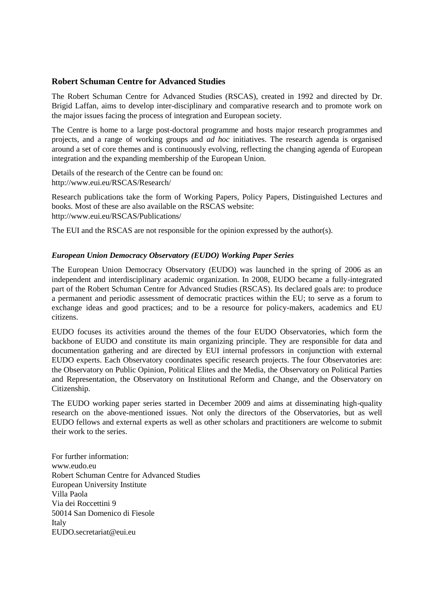# **Robert Schuman Centre for Advanced Studies**

The Robert Schuman Centre for Advanced Studies (RSCAS), created in 1992 and directed by Dr. Brigid Laffan, aims to develop inter-disciplinary and comparative research and to promote work on the major issues facing the process of integration and European society.

The Centre is home to a large post-doctoral programme and hosts major research programmes and projects, and a range of working groups and *ad hoc* initiatives. The research agenda is organised around a set of core themes and is continuously evolving, reflecting the changing agenda of European integration and the expanding membership of the European Union.

Details of the research of the Centre can be found on: <http://www.eui.eu/RSCAS/Research/>

Research publications take the form of Working Papers, Policy Papers, Distinguished Lectures and books. Most of these are also available on the RSCAS website: <http://www.eui.eu/RSCAS/Publications/>

The EUI and the RSCAS are not responsible for the opinion expressed by the author(s).

# *European Union Democracy Observatory (EUDO) Working Paper Series*

The European Union Democracy Observatory (EUDO) was launched in the spring of 2006 as an independent and interdisciplinary academic organization. In 2008, EUDO became a fully-integrated part of the Robert Schuman Centre for Advanced Studies (RSCAS). Its declared goals are: to produce a permanent and periodic assessment of democratic practices within the EU; to serve as a forum to exchange ideas and good practices; and to be a resource for policy-makers, academics and EU citizens.

EUDO focuses its activities around the themes of the four EUDO Observatories, which form the backbone of EUDO and constitute its main organizing principle. They are responsible for data and documentation gathering and are directed by EUI internal professors in conjunction with external EUDO experts. Each Observatory coordinates specific research projects. The four Observatories are: the Observatory on Public Opinion, Political Elites and the Media, the Observatory on Political Parties and Representation, the Observatory on Institutional Reform and Change, and the Observatory on Citizenship.

The EUDO working paper series started in December 2009 and aims at disseminating high-quality research on the above-mentioned issues. Not only the directors of the Observatories, but as well EUDO fellows and external experts as well as other scholars and practitioners are welcome to submit their work to the series.

For further information: [www.eudo.eu](http://www.eudo.eu)  Robert Schuman Centre for Advanced Studies European University Institute Villa Paola Via dei Roccettini 9 50014 San Domenico di Fiesole Italy [EUDO.secretariat@eui.eu](mailto:EUDO.secretariat@eui.eu)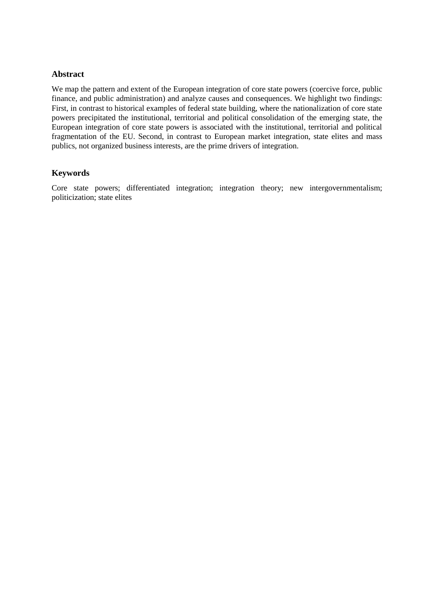# **Abstract**

We map the pattern and extent of the European integration of core state powers (coercive force, public finance, and public administration) and analyze causes and consequences. We highlight two findings: First, in contrast to historical examples of federal state building, where the nationalization of core state powers precipitated the institutional, territorial and political consolidation of the emerging state, the European integration of core state powers is associated with the institutional, territorial and political fragmentation of the EU. Second, in contrast to European market integration, state elites and mass publics, not organized business interests, are the prime drivers of integration.

# **Keywords**

Core state powers; differentiated integration; integration theory; new intergovernmentalism; politicization; state elites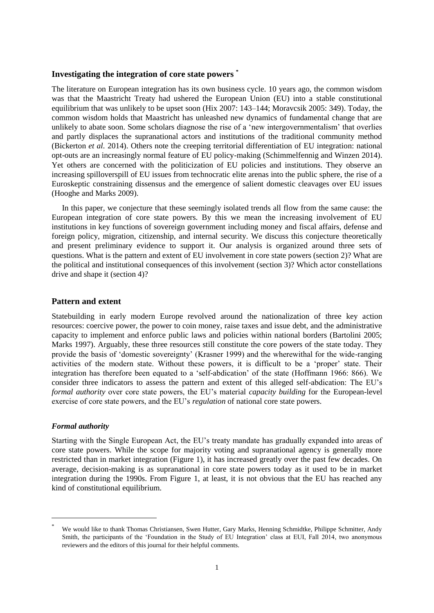# **Investigating the integration of core state powers \***

The literature on European integration has its own business cycle. 10 years ago, the common wisdom was that the Maastricht Treaty had ushered the European Union (EU) into a stable constitutional equilibrium that was unlikely to be upset soon (Hix 2007: 143–144; Moravcsik 2005: 349). Today, the common wisdom holds that Maastricht has unleashed new dynamics of fundamental change that are unlikely to abate soon. Some scholars diagnose the rise of a 'new intergovernmentalism' that overlies and partly displaces the supranational actors and institutions of the traditional community method (Bickerton *et al.* 2014). Others note the creeping territorial differentiation of EU integration: national opt-outs are an increasingly normal feature of EU policy-making (Schimmelfennig and Winzen 2014). Yet others are concerned with the politicization of EU policies and institutions. They observe an increasing spilloverspill of EU issues from technocratic elite arenas into the public sphere, the rise of a Euroskeptic constraining dissensus and the emergence of salient domestic cleavages over EU issues (Hooghe and Marks 2009).

In this paper, we conjecture that these seemingly isolated trends all flow from the same cause: the European integration of core state powers. By this we mean the increasing involvement of EU institutions in key functions of sovereign government including money and fiscal affairs, defense and foreign policy, migration, citizenship, and internal security. We discuss this conjecture theoretically and present preliminary evidence to support it. Our analysis is organized around three sets of questions. What is the pattern and extent of EU involvement in core state powers (section 2)? What are the political and institutional consequences of this involvement (section 3)? Which actor constellations drive and shape it (section 4)?

## **Pattern and extent**

Statebuilding in early modern Europe revolved around the nationalization of three key action resources: coercive power, the power to coin money, raise taxes and issue debt, and the administrative capacity to implement and enforce public laws and policies within national borders (Bartolini 2005; Marks 1997). Arguably, these three resources still constitute the core powers of the state today. They provide the basis of 'domestic sovereignty' (Krasner 1999) and the wherewithal for the wide-ranging activities of the modern state. Without these powers, it is difficult to be a 'proper' state. Their integration has therefore been equated to a 'self-abdication' of the state (Hoffmann 1966: 866). We consider three indicators to assess the pattern and extent of this alleged self-abdication: The EU's *formal authority* over core state powers, the EU's material *capacity building* for the European-level exercise of core state powers, and the EU's *regulation* of national core state powers.

## *Formal authority*

l

Starting with the Single European Act, the EU's treaty mandate has gradually expanded into areas of core state powers. While the scope for majority voting and supranational agency is generally more restricted than in market integration (Figure 1), it has increased greatly over the past few decades. On average, decision-making is as supranational in core state powers today as it used to be in market integration during the 1990s. From Figure 1, at least, it is not obvious that the EU has reached any kind of constitutional equilibrium.

We would like to thank Thomas Christiansen, Swen Hutter, Gary Marks, Henning Schmidtke, Philippe Schmitter, Andy Smith, the participants of the 'Foundation in the Study of EU Integration' class at EUI, Fall 2014, two anonymous reviewers and the editors of this journal for their helpful comments.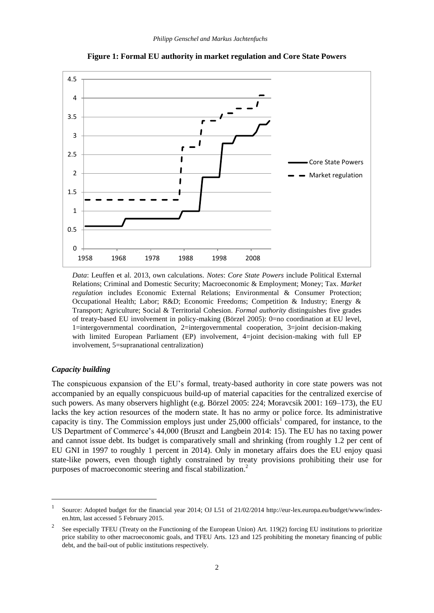

**Figure 1: Formal EU authority in market regulation and Core State Powers** 

*Data*: Leuffen et al. 2013, own calculations. *Notes*: *Core State Powers* include Political External Relations; Criminal and Domestic Security; Macroeconomic & Employment; Money; Tax. *Market regulation* includes Economic External Relations; Environmental & Consumer Protection; Occupational Health; Labor; R&D; Economic Freedoms; Competition & Industry; Energy & Transport; Agriculture; Social & Territorial Cohesion. *Formal authority* distinguishes five grades of treaty-based EU involvement in policy-making (Börzel 2005): 0=no coordination at EU level, 1=intergovernmental coordination, 2=intergovernmental cooperation, 3=joint decision-making with limited European Parliament (EP) involvement, 4=joint decision-making with full EP involvement, 5=supranational centralization)

#### *Capacity building*

 $\overline{\phantom{a}}$ 

The conspicuous expansion of the EU's formal, treaty-based authority in core state powers was not accompanied by an equally conspicuous build-up of material capacities for the centralized exercise of such powers. As many observers highlight (e.g. Börzel 2005: 224; Moravcsik 2001: 169–173), the EU lacks the key action resources of the modern state. It has no army or police force. Its administrative capacity is tiny. The Commission employs just under  $25,000$  officials<sup>1</sup> compared, for instance, to the US Department of Commerce's 44,000 (Bruszt and Langbein 2014: 15). The EU has no taxing power and cannot issue debt. Its budget is comparatively small and shrinking (from roughly 1.2 per cent of EU GNI in 1997 to roughly 1 percent in 2014). Only in monetary affairs does the EU enjoy quasi state-like powers, even though tightly constrained by treaty provisions prohibiting their use for purposes of macroeconomic steering and fiscal stabilization.<sup>2</sup>

<sup>1</sup> Source: Adopted budget for the financial year 2014; OJ L51 of 21/02/2014 [http://eur-lex.europa.eu/budget/www/index](http://eur-lex.europa.eu/budget/www/index-en.htm)[en.htm, las](http://eur-lex.europa.eu/budget/www/index-en.htm)t accessed 5 February 2015.

<sup>2</sup> See especially TFEU (Treaty on the Functioning of the European Union) Art. 119(2) forcing EU institutions to prioritize price stability to other macroeconomic goals, and TFEU Arts. 123 and 125 prohibiting the monetary financing of public debt, and the bail-out of public institutions respectively.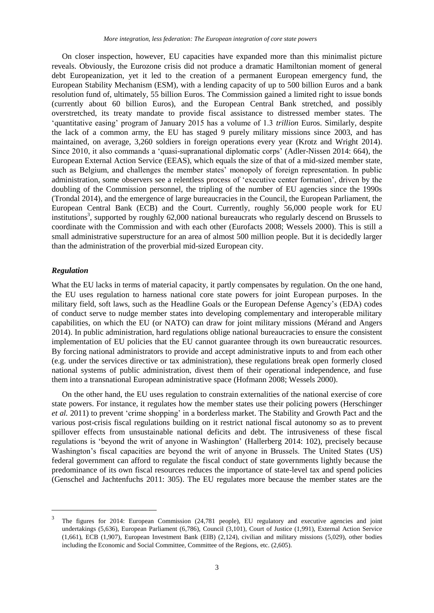On closer inspection, however, EU capacities have expanded more than this minimalist picture reveals. Obviously, the Eurozone crisis did not produce a dramatic Hamiltonian moment of general debt Europeanization, yet it led to the creation of a permanent European emergency fund, the European Stability Mechanism (ESM), with a lending capacity of up to 500 billion Euros and a bank resolution fund of, ultimately, 55 billion Euros. The Commission gained a limited right to issue bonds (currently about 60 billion Euros), and the European Central Bank stretched, and possibly overstretched, its treaty mandate to provide fiscal assistance to distressed member states. The 'quantitative easing' program of January 2015 has a volume of 1.3 *trillion* Euros. Similarly, despite the lack of a common army, the EU has staged 9 purely military missions since 2003, and has maintained, on average, 3,260 soldiers in foreign operations every year (Krotz and Wright 2014). Since 2010, it also commands a 'quasi-supranational diplomatic corps' (Adler-Nissen 2014: 664), the European External Action Service (EEAS), which equals the size of that of a mid-sized member state, such as Belgium, and challenges the member states' monopoly of foreign representation. In public administration, some observers see a relentless process of 'executive center formation', driven by the doubling of the Commission personnel, the tripling of the number of EU agencies since the 1990s (Trondal 2014), and the emergence of large bureaucracies in the Council, the European Parliament, the European Central Bank (ECB) and the Court. Currently, roughly 56,000 people work for EU institutions<sup>3</sup>, supported by roughly 62,000 national bureaucrats who regularly descend on Brussels to coordinate with the Commission and with each other (Eurofacts 2008; Wessels 2000). This is still a small administrative superstructure for an area of almost 500 million people. But it is decidedly larger than the administration of the proverbial mid-sized European city.

#### *Regulation*

 $\overline{\phantom{a}}$ 

What the EU lacks in terms of material capacity, it partly compensates by regulation. On the one hand, the EU uses regulation to harness national core state powers for joint European purposes. In the military field, soft laws, such as the Headline Goals or the European Defense Agency's (EDA) codes of conduct serve to nudge member states into developing complementary and interoperable military capabilities, on which the EU (or NATO) can draw for joint military missions (Mérand and Angers 2014). In public administration, hard regulations oblige national bureaucracies to ensure the consistent implementation of EU policies that the EU cannot guarantee through its own bureaucratic resources. By forcing national administrators to provide and accept administrative inputs to and from each other (e.g. under the services directive or tax administration), these regulations break open formerly closed national systems of public administration, divest them of their operational independence, and fuse them into a transnational European administrative space (Hofmann 2008; Wessels 2000).

On the other hand, the EU uses regulation to constrain externalities of the national exercise of core state powers. For instance, it regulates how the member states use their policing powers (Herschinger *et al.* 2011) to prevent 'crime shopping' in a borderless market. The Stability and Growth Pact and the various post-crisis fiscal regulations building on it restrict national fiscal autonomy so as to prevent spillover effects from unsustainable national deficits and debt. The intrusiveness of these fiscal regulations is 'beyond the writ of anyone in Washington' (Hallerberg 2014: 102), precisely because Washington's fiscal capacities are beyond the writ of anyone in Brussels. The United States (US) federal government can afford to regulate the fiscal conduct of state governments lightly because the predominance of its own fiscal resources reduces the importance of state-level tax and spend policies (Genschel and Jachtenfuchs 2011: 305). The EU regulates more because the member states are the

<sup>3</sup> The figures for 2014: European Commission (24,781 people), EU regulatory and executive agencies and joint undertakings (5,636), European Parliament (6,786), Council (3,101), Court of Justice (1,991), External Action Service (1,661), ECB (1,907), European Investment Bank (EIB) (2,124), civilian and military missions (5,029), other bodies including the Economic and Social Committee, Committee of the Regions, etc. (2,605).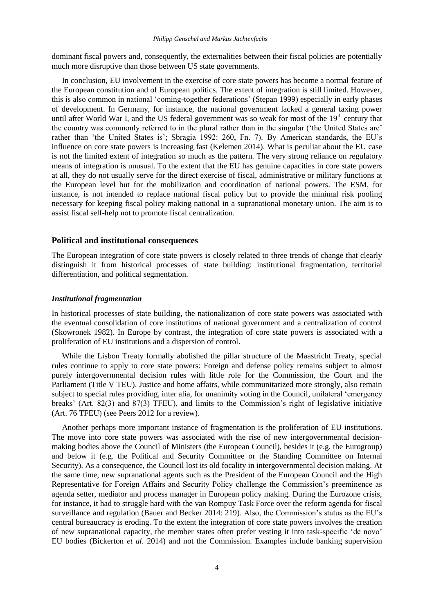dominant fiscal powers and, consequently, the externalities between their fiscal policies are potentially much more disruptive than those between US state governments.

In conclusion, EU involvement in the exercise of core state powers has become a normal feature of the European constitution and of European politics. The extent of integration is still limited. However, this is also common in national 'coming-together federations' (Stepan 1999) especially in early phases of development. In Germany, for instance, the national government lacked a general taxing power until after World War I, and the US federal government was so weak for most of the 19<sup>th</sup> century that the country was commonly referred to in the plural rather than in the singular ('the United States are' rather than 'the United States is'; Sbragia 1992: 260, Fn. 7). By American standards, the EU's influence on core state powers is increasing fast (Kelemen 2014). What is peculiar about the EU case is not the limited extent of integration so much as the pattern. The very strong reliance on regulatory means of integration is unusual. To the extent that the EU has genuine capacities in core state powers at all, they do not usually serve for the direct exercise of fiscal, administrative or military functions at the European level but for the mobilization and coordination of national powers. The ESM, for instance, is not intended to replace national fiscal policy but to provide the minimal risk pooling necessary for keeping fiscal policy making national in a supranational monetary union. The aim is to assist fiscal self-help not to promote fiscal centralization.

#### **Political and institutional consequences**

The European integration of core state powers is closely related to three trends of change that clearly distinguish it from historical processes of state building: institutional fragmentation, territorial differentiation, and political segmentation.

## *Institutional fragmentation*

In historical processes of state building, the nationalization of core state powers was associated with the eventual consolidation of core institutions of national government and a centralization of control (Skowronek 1982). In Europe by contrast, the integration of core state powers is associated with a proliferation of EU institutions and a dispersion of control.

While the Lisbon Treaty formally abolished the pillar structure of the Maastricht Treaty, special rules continue to apply to core state powers: Foreign and defense policy remains subject to almost purely intergovernmental decision rules with little role for the Commission, the Court and the Parliament (Title V TEU). Justice and home affairs, while communitarized more strongly, also remain subject to special rules providing, inter alia, for unanimity voting in the Council, unilateral 'emergency breaks' (Art. 82(3) and 87(3) TFEU), and limits to the Commission's right of legislative initiative (Art. 76 TFEU) (see Peers 2012 for a review).

Another perhaps more important instance of fragmentation is the proliferation of EU institutions. The move into core state powers was associated with the rise of new intergovernmental decisionmaking bodies above the Council of Ministers (the European Council), besides it (e.g. the Eurogroup) and below it (e.g. the Political and Security Committee or the Standing Committee on Internal Security). As a consequence, the Council lost its old focality in intergovernmental decision making. At the same time, new supranational agents such as the President of the European Council and the High Representative for Foreign Affairs and Security Policy challenge the Commission's preeminence as agenda setter, mediator and process manager in European policy making. During the Eurozone crisis, for instance, it had to struggle hard with the van Rompuy Task Force over the reform agenda for fiscal surveillance and regulation (Bauer and Becker 2014: 219). Also, the Commission's status as the EU's central bureaucracy is eroding. To the extent the integration of core state powers involves the creation of new supranational capacity, the member states often prefer vesting it into task-specific 'de novo' EU bodies (Bickerton *et al.* 2014) and not the Commission. Examples include banking supervision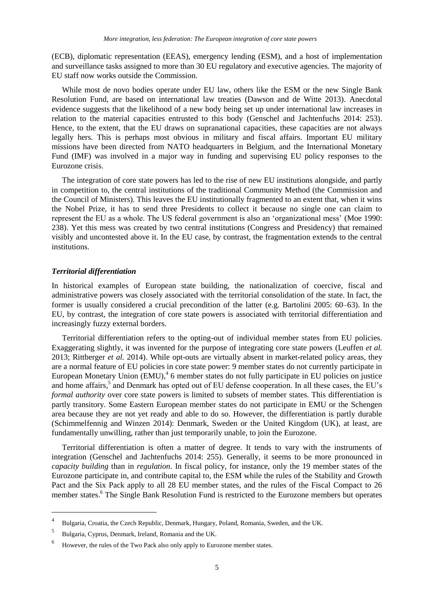(ECB), diplomatic representation (EEAS), emergency lending (ESM), and a host of implementation and surveillance tasks assigned to more than 30 EU regulatory and executive agencies. The majority of EU staff now works outside the Commission.

While most de novo bodies operate under EU law, others like the ESM or the new Single Bank Resolution Fund, are based on international law treaties (Dawson and de Witte 2013). Anecdotal evidence suggests that the likelihood of a new body being set up under international law increases in relation to the material capacities entrusted to this body (Genschel and Jachtenfuchs 2014: 253). Hence, to the extent, that the EU draws on supranational capacities, these capacities are not always legally hers. This is perhaps most obvious in military and fiscal affairs. Important EU military missions have been directed from NATO headquarters in Belgium, and the International Monetary Fund (IMF) was involved in a major way in funding and supervising EU policy responses to the Eurozone crisis.

The integration of core state powers has led to the rise of new EU institutions alongside, and partly in competition to, the central institutions of the traditional Community Method (the Commission and the Council of Ministers). This leaves the EU institutionally fragmented to an extent that, when it wins the Nobel Prize, it has to send three Presidents to collect it because no single one can claim to represent the EU as a whole. The US federal government is also an 'organizational mess' (Moe 1990: 238). Yet this mess was created by two central institutions (Congress and Presidency) that remained visibly and uncontested above it. In the EU case, by contrast, the fragmentation extends to the central institutions.

#### *Territorial differentiation*

In historical examples of European state building, the nationalization of coercive, fiscal and administrative powers was closely associated with the territorial consolidation of the state. In fact, the former is usually considered a crucial precondition of the latter (e.g. Bartolini 2005: 60–63). In the EU, by contrast, the integration of core state powers is associated with territorial differentiation and increasingly fuzzy external borders.

Territorial differentiation refers to the opting-out of individual member states from EU policies. Exaggerating slightly, it was invented for the purpose of integrating core state powers (Leuffen *et al.* 2013; Rittberger *et al.* 2014). While opt-outs are virtually absent in market-related policy areas, they are a normal feature of EU policies in core state power: 9 member states do not currently participate in European Monetary Union (EMU),<sup>4</sup> 6 member states do not fully participate in EU policies on justice and home affairs,<sup>5</sup> and Denmark has opted out of EU defense cooperation. In all these cases, the EU's *formal authority* over core state powers is limited to subsets of member states. This differentiation is partly transitory. Some Eastern European member states do not participate in EMU or the Schengen area because they are not yet ready and able to do so. However, the differentiation is partly durable (Schimmelfennig and Winzen 2014): Denmark, Sweden or the United Kingdom (UK), at least, are fundamentally unwilling, rather than just temporarily unable, to join the Eurozone.

Territorial differentiation is often a matter of degree. It tends to vary with the instruments of integration (Genschel and Jachtenfuchs 2014: 255). Generally, it seems to be more pronounced in *capacity building* than in *regulation*. In fiscal policy, for instance, only the 19 member states of the Eurozone participate in, and contribute capital to, the ESM while the rules of the Stability and Growth Pact and the Six Pack apply to all 28 EU member states, and the rules of the Fiscal Compact to 26 member states.<sup>6</sup> The Single Bank Resolution Fund is restricted to the Eurozone members but operates

 $\overline{\phantom{a}}$ 

<sup>4</sup> Bulgaria, Croatia, the Czech Republic, Denmark, Hungary, Poland, Romania, Sweden, and the UK.

<sup>5</sup> Bulgaria, Cyprus, Denmark, Ireland, Romania and the UK.

<sup>6</sup> However, the rules of the Two Pack also only apply to Eurozone member states.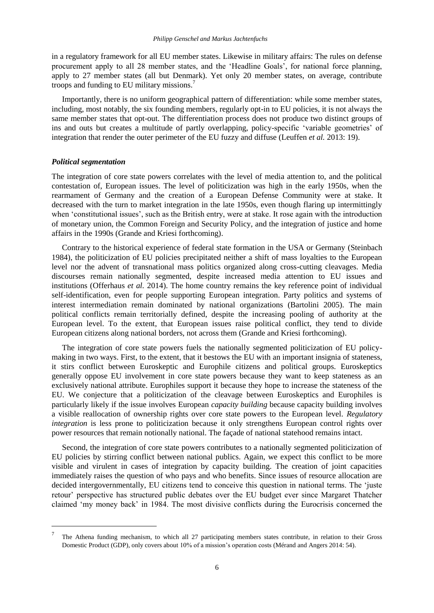in a regulatory framework for all EU member states. Likewise in military affairs: The rules on defense procurement apply to all 28 member states, and the 'Headline Goals', for national force planning, apply to 27 member states (all but Denmark). Yet only 20 member states, on average, contribute troops and funding to EU military missions.<sup>7</sup>

Importantly, there is no uniform geographical pattern of differentiation: while some member states, including, most notably, the six founding members, regularly opt-in to EU policies, it is not always the same member states that opt-out. The differentiation process does not produce two distinct groups of ins and outs but creates a multitude of partly overlapping, policy-specific 'variable geometries' of integration that render the outer perimeter of the EU fuzzy and diffuse (Leuffen *et al.* 2013: 19).

#### *Political segmentation*

 $\overline{\phantom{a}}$ 

The integration of core state powers correlates with the level of media attention to, and the political contestation of, European issues. The level of politicization was high in the early 1950s, when the rearmament of Germany and the creation of a European Defense Community were at stake. It decreased with the turn to market integration in the late 1950s, even though flaring up intermittingly when 'constitutional issues', such as the British entry, were at stake. It rose again with the introduction of monetary union, the Common Foreign and Security Policy, and the integration of justice and home affairs in the 1990s (Grande and Kriesi forthcoming).

Contrary to the historical experience of federal state formation in the USA or Germany (Steinbach 1984), the politicization of EU policies precipitated neither a shift of mass loyalties to the European level nor the advent of transnational mass politics organized along cross-cutting cleavages. Media discourses remain nationally segmented, despite increased media attention to EU issues and institutions (Offerhaus *et al.* 2014). The home country remains the key reference point of individual self-identification, even for people supporting European integration. Party politics and systems of interest intermediation remain dominated by national organizations (Bartolini 2005). The main political conflicts remain territorially defined, despite the increasing pooling of authority at the European level. To the extent, that European issues raise political conflict, they tend to divide European citizens along national borders, not across them (Grande and Kriesi forthcoming).

The integration of core state powers fuels the nationally segmented politicization of EU policymaking in two ways. First, to the extent, that it bestows the EU with an important insignia of stateness, it stirs conflict between Euroskeptic and Europhile citizens and political groups. Euroskeptics generally oppose EU involvement in core state powers because they want to keep stateness as an exclusively national attribute. Europhiles support it because they hope to increase the stateness of the EU. We conjecture that a politicization of the cleavage between Euroskeptics and Europhiles is particularly likely if the issue involves European *capacity building* because capacity building involves a visible reallocation of ownership rights over core state powers to the European level. *Regulatory integration* is less prone to politicization because it only strengthens European control rights over power resources that remain notionally national. The façade of national statehood remains intact.

Second, the integration of core state powers contributes to a nationally segmented politicization of EU policies by stirring conflict between national publics. Again, we expect this conflict to be more visible and virulent in cases of integration by capacity building. The creation of joint capacities immediately raises the question of who pays and who benefits. Since issues of resource allocation are decided intergovernmentally, EU citizens tend to conceive this question in national terms. The 'juste retour' perspective has structured public debates over the EU budget ever since Margaret Thatcher claimed 'my money back' in 1984. The most divisive conflicts during the Eurocrisis concerned the

<sup>7</sup> The Athena funding mechanism, to which all 27 participating members states contribute, in relation to their Gross Domestic Product (GDP), only covers about 10% of a mission's operation costs (Mérand and Angers 2014: 54).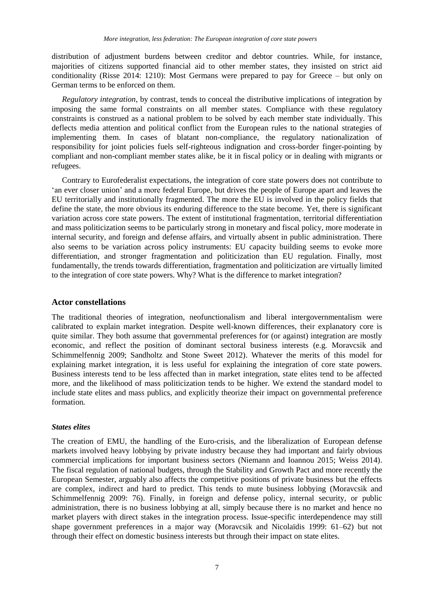distribution of adjustment burdens between creditor and debtor countries. While, for instance, majorities of citizens supported financial aid to other member states, they insisted on strict aid conditionality (Risse 2014: 1210): Most Germans were prepared to pay for Greece – but only on German terms to be enforced on them.

*Regulatory integration*, by contrast, tends to conceal the distributive implications of integration by imposing the same formal constraints on all member states. Compliance with these regulatory constraints is construed as a national problem to be solved by each member state individually. This deflects media attention and political conflict from the European rules to the national strategies of implementing them. In cases of blatant non-compliance, the regulatory nationalization of responsibility for joint policies fuels self-righteous indignation and cross-border finger-pointing by compliant and non-compliant member states alike, be it in fiscal policy or in dealing with migrants or refugees.

Contrary to Eurofederalist expectations, the integration of core state powers does not contribute to 'an ever closer union' and a more federal Europe, but drives the people of Europe apart and leaves the EU territorially and institutionally fragmented. The more the EU is involved in the policy fields that define the state, the more obvious its enduring difference to the state become. Yet, there is significant variation across core state powers. The extent of institutional fragmentation, territorial differentiation and mass politicization seems to be particularly strong in monetary and fiscal policy, more moderate in internal security, and foreign and defense affairs, and virtually absent in public administration. There also seems to be variation across policy instruments: EU capacity building seems to evoke more differentiation, and stronger fragmentation and politicization than EU regulation. Finally, most fundamentally, the trends towards differentiation, fragmentation and politicization are virtually limited to the integration of core state powers. Why? What is the difference to market integration?

#### **Actor constellations**

The traditional theories of integration, neofunctionalism and liberal intergovernmentalism were calibrated to explain market integration. Despite well-known differences, their explanatory core is quite similar. They both assume that governmental preferences for (or against) integration are mostly economic, and reflect the position of dominant sectoral business interests (e.g. Moravcsik and Schimmelfennig 2009; Sandholtz and Stone Sweet 2012). Whatever the merits of this model for explaining market integration, it is less useful for explaining the integration of core state powers. Business interests tend to be less affected than in market integration, state elites tend to be affected more, and the likelihood of mass politicization tends to be higher. We extend the standard model to include state elites and mass publics, and explicitly theorize their impact on governmental preference formation.

#### *States elites*

The creation of EMU, the handling of the Euro-crisis, and the liberalization of European defense markets involved heavy lobbying by private industry because they had important and fairly obvious commercial implications for important business sectors (Niemann and Ioannou 2015; Weiss 2014). The fiscal regulation of national budgets, through the Stability and Growth Pact and more recently the European Semester, arguably also affects the competitive positions of private business but the effects are complex, indirect and hard to predict. This tends to mute business lobbying (Moravcsik and Schimmelfennig 2009: 76). Finally, in foreign and defense policy, internal security, or public administration, there is no business lobbying at all, simply because there is no market and hence no market players with direct stakes in the integration process. Issue-specific interdependence may still shape government preferences in a major way (Moravcsik and Nicolaïdis 1999: 61–62) but not through their effect on domestic business interests but through their impact on state elites.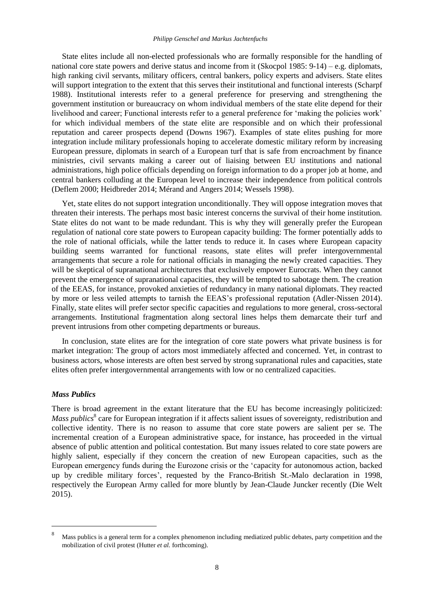State elites include all non-elected professionals who are formally responsible for the handling of national core state powers and derive status and income from it (Skocpol 1985: 9-14) – e.g. diplomats, high ranking civil servants, military officers, central bankers, policy experts and advisers. State elites will support integration to the extent that this serves their institutional and functional interests (Scharpf 1988). Institutional interests refer to a general preference for preserving and strengthening the government institution or bureaucracy on whom individual members of the state elite depend for their livelihood and career; Functional interests refer to a general preference for 'making the policies work' for which individual members of the state elite are responsible and on which their professional reputation and career prospects depend (Downs 1967). Examples of state elites pushing for more integration include military professionals hoping to accelerate domestic military reform by increasing European pressure, diplomats in search of a European turf that is safe from encroachment by finance ministries, civil servants making a career out of liaising between EU institutions and national administrations, high police officials depending on foreign information to do a proper job at home, and central bankers colluding at the European level to increase their independence from political controls (Deflem 2000; Heidbreder 2014; Mérand and Angers 2014; Wessels 1998).

Yet, state elites do not support integration unconditionally. They will oppose integration moves that threaten their interests. The perhaps most basic interest concerns the survival of their home institution. State elites do not want to be made redundant. This is why they will generally prefer the European regulation of national core state powers to European capacity building: The former potentially adds to the role of national officials, while the latter tends to reduce it. In cases where European capacity building seems warranted for functional reasons, state elites will prefer intergovernmental arrangements that secure a role for national officials in managing the newly created capacities. They will be skeptical of supranational architectures that exclusively empower Eurocrats. When they cannot prevent the emergence of supranational capacities, they will be tempted to sabotage them. The creation of the EEAS, for instance, provoked anxieties of redundancy in many national diplomats. They reacted by more or less veiled attempts to tarnish the EEAS's professional reputation (Adler-Nissen 2014). Finally, state elites will prefer sector specific capacities and regulations to more general, cross-sectoral arrangements. Institutional fragmentation along sectoral lines helps them demarcate their turf and prevent intrusions from other competing departments or bureaus.

In conclusion, state elites are for the integration of core state powers what private business is for market integration: The group of actors most immediately affected and concerned. Yet, in contrast to business actors, whose interests are often best served by strong supranational rules and capacities, state elites often prefer intergovernmental arrangements with low or no centralized capacities.

#### *Mass Publics*

 $\overline{\phantom{a}}$ 

There is broad agreement in the extant literature that the EU has become increasingly politicized: Mass publics<sup>8</sup> care for European integration if it affects salient issues of sovereignty, redistribution and collective identity. There is no reason to assume that core state powers are salient per se. The incremental creation of a European administrative space, for instance, has proceeded in the virtual absence of public attention and political contestation. But many issues related to core state powers are highly salient, especially if they concern the creation of new European capacities, such as the European emergency funds during the Eurozone crisis or the 'capacity for autonomous action, backed up by credible military forces', requested by the Franco-British St.-Malo declaration in 1998, respectively the European Army called for more bluntly by Jean-Claude Juncker recently (Die Welt 2015).

Mass publics is a general term for a complex phenomenon including mediatized public debates, party competition and the mobilization of civil protest (Hutter *et al.* forthcoming).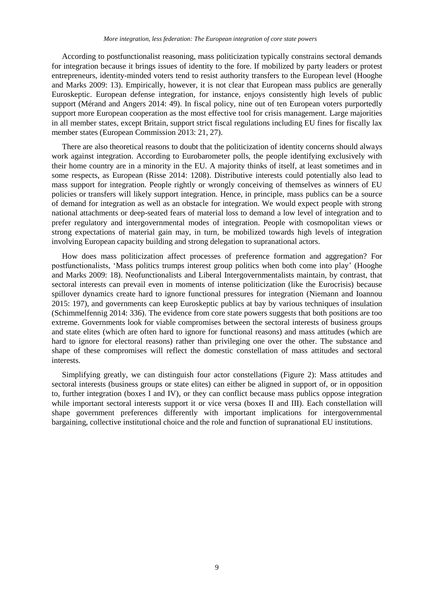According to postfunctionalist reasoning, mass politicization typically constrains sectoral demands for integration because it brings issues of identity to the fore. If mobilized by party leaders or protest entrepreneurs, identity-minded voters tend to resist authority transfers to the European level (Hooghe and Marks 2009: 13). Empirically, however, it is not clear that European mass publics are generally Euroskeptic. European defense integration, for instance, enjoys consistently high levels of public support (Mérand and Angers 2014: 49). In fiscal policy, nine out of ten European voters purportedly support more European cooperation as the most effective tool for crisis management. Large majorities in all member states, except Britain, support strict fiscal regulations including EU fines for fiscally lax member states (European Commission 2013: 21, 27).

There are also theoretical reasons to doubt that the politicization of identity concerns should always work against integration. According to Eurobarometer polls, the people identifying exclusively with their home country are in a minority in the EU. A majority thinks of itself, at least sometimes and in some respects, as European (Risse 2014: 1208). Distributive interests could potentially also lead to mass support for integration. People rightly or wrongly conceiving of themselves as winners of EU policies or transfers will likely support integration. Hence, in principle, mass publics can be a source of demand for integration as well as an obstacle for integration. We would expect people with strong national attachments or deep-seated fears of material loss to demand a low level of integration and to prefer regulatory and intergovernmental modes of integration. People with cosmopolitan views or strong expectations of material gain may, in turn, be mobilized towards high levels of integration involving European capacity building and strong delegation to supranational actors.

How does mass politicization affect processes of preference formation and aggregation? For postfunctionalists, 'Mass politics trumps interest group politics when both come into play' (Hooghe and Marks 2009: 18). Neofunctionalists and Liberal Intergovernmentalists maintain, by contrast, that sectoral interests can prevail even in moments of intense politicization (like the Eurocrisis) because spillover dynamics create hard to ignore functional pressures for integration (Niemann and Ioannou 2015: 197), and governments can keep Euroskeptic publics at bay by various techniques of insulation (Schimmelfennig 2014: 336). The evidence from core state powers suggests that both positions are too extreme. Governments look for viable compromises between the sectoral interests of business groups and state elites (which are often hard to ignore for functional reasons) and mass attitudes (which are hard to ignore for electoral reasons) rather than privileging one over the other. The substance and shape of these compromises will reflect the domestic constellation of mass attitudes and sectoral interests.

Simplifying greatly, we can distinguish four actor constellations (Figure 2): Mass attitudes and sectoral interests (business groups or state elites) can either be aligned in support of, or in opposition to, further integration (boxes I and IV), or they can conflict because mass publics oppose integration while important sectoral interests support it or vice versa (boxes II and III). Each constellation will shape government preferences differently with important implications for intergovernmental bargaining, collective institutional choice and the role and function of supranational EU institutions.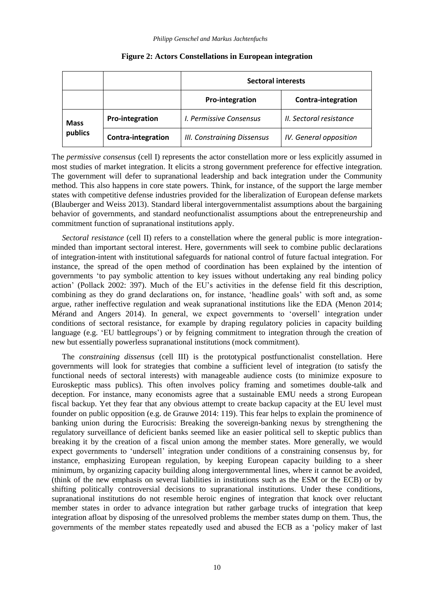|                        |                           | <b>Sectoral interests</b>   |                           |
|------------------------|---------------------------|-----------------------------|---------------------------|
|                        |                           | <b>Pro-integration</b>      | <b>Contra-integration</b> |
| <b>Mass</b><br>publics | Pro-integration           | I. Permissive Consensus     | II. Sectoral resistance   |
|                        | <b>Contra-integration</b> | III. Constraining Dissensus | IV. General opposition    |

#### **Figure 2: Actors Constellations in European integration**

The *permissive consensus* (cell I) represents the actor constellation more or less explicitly assumed in most studies of market integration. It elicits a strong government preference for effective integration. The government will defer to supranational leadership and back integration under the Community method. This also happens in core state powers. Think, for instance, of the support the large member states with competitive defense industries provided for the liberalization of European defense markets (Blauberger and Weiss 2013). Standard liberal intergovernmentalist assumptions about the bargaining behavior of governments, and standard neofunctionalist assumptions about the entrepreneurship and commitment function of supranational institutions apply.

*Sectoral resistance* (cell II) refers to a constellation where the general public is more integrationminded than important sectoral interest. Here, governments will seek to combine public declarations of integration-intent with institutional safeguards for national control of future factual integration. For instance, the spread of the open method of coordination has been explained by the intention of governments 'to pay symbolic attention to key issues without undertaking any real binding policy action' (Pollack 2002: 397). Much of the EU's activities in the defense field fit this description, combining as they do grand declarations on, for instance, 'headline goals' with soft and, as some argue, rather ineffective regulation and weak supranational institutions like the EDA (Menon 2014; Mérand and Angers 2014). In general, we expect governments to 'oversell' integration under conditions of sectoral resistance, for example by draping regulatory policies in capacity building language (e.g. 'EU battlegroups') or by feigning commitment to integration through the creation of new but essentially powerless supranational institutions (mock commitment).

The *constraining dissensus* (cell III) is the prototypical postfunctionalist constellation. Here governments will look for strategies that combine a sufficient level of integration (to satisfy the functional needs of sectoral interests) with manageable audience costs (to minimize exposure to Euroskeptic mass publics). This often involves policy framing and sometimes double-talk and deception. For instance, many economists agree that a sustainable EMU needs a strong European fiscal backup. Yet they fear that any obvious attempt to create backup capacity at the EU level must founder on public opposition (e.g. de Grauwe 2014: 119). This fear helps to explain the prominence of banking union during the Eurocrisis: Breaking the sovereign-banking nexus by strengthening the regulatory surveillance of deficient banks seemed like an easier political sell to skeptic publics than breaking it by the creation of a fiscal union among the member states. More generally, we would expect governments to 'undersell' integration under conditions of a constraining consensus by, for instance, emphasizing European regulation, by keeping European capacity building to a sheer minimum, by organizing capacity building along intergovernmental lines, where it cannot be avoided, (think of the new emphasis on several liabilities in institutions such as the ESM or the ECB) or by shifting politically controversial decisions to supranational institutions. Under these conditions, supranational institutions do not resemble heroic engines of integration that knock over reluctant member states in order to advance integration but rather garbage trucks of integration that keep integration afloat by disposing of the unresolved problems the member states dump on them. Thus, the governments of the member states repeatedly used and abused the ECB as a 'policy maker of last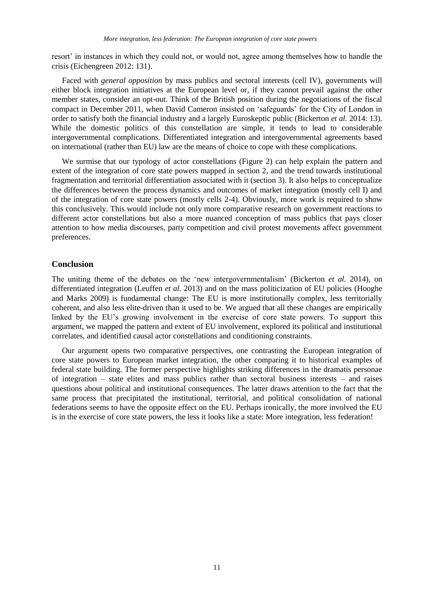resort' in instances in which they could not, or would not, agree among themselves how to handle the crisis (Eichengreen 2012: 131).

Faced with *general opposition* by mass publics and sectoral interests (cell IV), governments will either block integration initiatives at the European level or, if they cannot prevail against the other member states, consider an opt-out. Think of the British position during the negotiations of the fiscal compact in December 2011, when David Cameron insisted on 'safeguards' for the City of London in order to satisfy both the financial industry and a largely Euroskeptic public (Bickerton *et al.* 2014: 13). While the domestic politics of this constellation are simple, it tends to lead to considerable intergovernmental complications. Differentiated integration and intergovernmental agreements based on international (rather than EU) law are the means of choice to cope with these complications.

We surmise that our typology of actor constellations (Figure 2) can help explain the pattern and extent of the integration of core state powers mapped in section 2, and the trend towards institutional fragmentation and territorial differentiation associated with it (section 3). It also helps to conceptualize the differences between the process dynamics and outcomes of market integration (mostly cell I) and of the integration of core state powers (mostly cells 2-4). Obviously, more work is required to show this conclusively. This would include not only more comparative research on government reactions to different actor constellations but also a more nuanced conception of mass publics that pays closer attention to how media discourses, party competition and civil protest movements affect government preferences.

#### **Conclusion**

The uniting theme of the debates on the 'new intergovernmentalism' (Bickerton *et al.* 2014), on differentiated integration (Leuffen *et al.* 2013) and on the mass politicization of EU policies (Hooghe and Marks 2009) is fundamental change: The EU is more institutionally complex, less territorially coherent, and also less elite-driven than it used to be. We argued that all these changes are empirically linked by the EU's growing involvement in the exercise of core state powers. To support this argument, we mapped the pattern and extent of EU involvement, explored its political and institutional correlates, and identified causal actor constellations and conditioning constraints.

Our argument opens two comparative perspectives, one contrasting the European integration of core state powers to European market integration, the other comparing it to historical examples of federal state building. The former perspective highlights striking differences in the dramatis personae of integration – state elites and mass publics rather than sectoral business interests – and raises questions about political and institutional consequences. The latter draws attention to the fact that the same process that precipitated the institutional, territorial, and political consolidation of national federations seems to have the opposite effect on the EU. Perhaps ironically, the more involved the EU is in the exercise of core state powers, the less it looks like a state: More integration, less federation!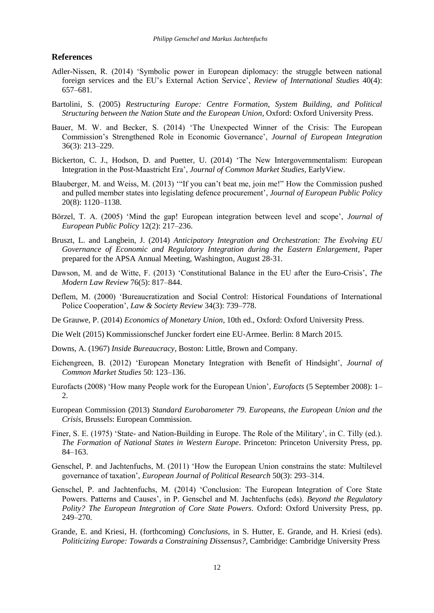#### **References**

- Adler-Nissen, R. (2014) 'Symbolic power in European diplomacy: the struggle between national foreign services and the EU's External Action Service', *Review of International Studies* 40(4): 657–681.
- Bartolini, S. (2005) *Restructuring Europe: Centre Formation, System Building, and Political Structuring between the Nation State and the European Union*, Oxford: Oxford University Press.
- Bauer, M. W. and Becker, S. (2014) 'The Unexpected Winner of the Crisis: The European Commission's Strengthened Role in Economic Governance', *Journal of European Integration* 36(3): 213–229.
- Bickerton, C. J., Hodson, D. and Puetter, U. (2014) 'The New Intergovernmentalism: European Integration in the Post-Maastricht Era', *Journal of Common Market Studies,* EarlyView.
- Blauberger, M. and Weiss, M. (2013) '"If you can't beat me, join me!" How the Commission pushed and pulled member states into legislating defence procurement', *Journal of European Public Policy* 20(8): 1120–1138.
- Börzel, T. A. (2005) 'Mind the gap! European integration between level and scope', *Journal of European Public Policy* 12(2): 217–236.
- Bruszt, L. and Langbein, J. (2014) *Anticipatory Integration and Orchestration: The Evolving EU Governance of Economic and Regulatory Integration during the Eastern Enlargement*, Paper prepared for the APSA Annual Meeting, Washington, August 28‐31.
- Dawson, M. and de Witte, F. (2013) 'Constitutional Balance in the EU after the Euro-Crisis', *The Modern Law Review* 76(5): 817–844.
- Deflem, M. (2000) 'Bureaucratization and Social Control: Historical Foundations of International Police Cooperation', *Law & Society Review* 34(3): 739–778.
- De Grauwe, P. (2014) *Economics of Monetary Union*, 10th ed., Oxford: Oxford University Press.
- Die Welt (2015) Kommissionschef Juncker fordert eine EU-Armee. Berlin: 8 March 2015.
- Downs, A. (1967) *Inside Bureaucracy*, Boston: Little, Brown and Company.
- Eichengreen, B. (2012) 'European Monetary Integration with Benefit of Hindsight', *Journal of Common Market Studies* 50: 123–136.
- Eurofacts (2008) 'How many People work for the European Union', *Eurofacts* (5 September 2008): 1– 2.
- European Commission (2013) *Standard Eurobarometer 79. Europeans, the European Union and the Crisis*, Brussels: European Commission.
- Finer, S. E. (1975) 'State- and Nation-Building in Europe. The Role of the Military', in C. Tilly (ed.). *The Formation of National States in Western Europe*. Princeton: Princeton University Press, pp. 84–163.
- Genschel, P. and Jachtenfuchs, M. (2011) 'How the European Union constrains the state: Multilevel governance of taxation', *European Journal of Political Research* 50(3): 293–314.
- Genschel, P. and Jachtenfuchs, M. (2014) 'Conclusion: The European Integration of Core State Powers. Patterns and Causes', in P. Genschel and M. Jachtenfuchs (eds). *Beyond the Regulatory Polity? The European Integration of Core State Powers*. Oxford: Oxford University Press, pp. 249–270.
- Grande, E. and Kriesi, H. (forthcoming) *Conclusions*, in S. Hutter, E. Grande, and H. Kriesi (eds). *Politicizing Europe: Towards a Constraining Dissensus?*, Cambridge: Cambridge University Press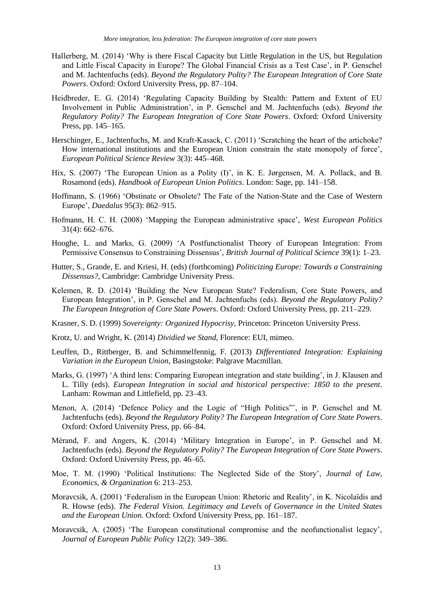- Hallerberg, M. (2014) 'Why is there Fiscal Capacity but Little Regulation in the US, but Regulation and Little Fiscal Capacity in Europe? The Global Financial Crisis as a Test Case', in P. Genschel and M. Jachtenfuchs (eds). *Beyond the Regulatory Polity? The European Integration of Core State Powers*. Oxford: Oxford University Press, pp. 87–104.
- Heidbreder, E. G. (2014) 'Regulating Capacity Building by Stealth: Pattern and Extent of EU Involvement in Public Administration', in P. Genschel and M. Jachtenfuchs (eds). *Beyond the Regulatory Polity? The European Integration of Core State Powers*. Oxford: Oxford University Press, pp. 145–165.
- Herschinger, E., Jachtenfuchs, M. and Kraft-Kasack, C. (2011) 'Scratching the heart of the artichoke? How international institutions and the European Union constrain the state monopoly of force', *European Political Science Review* 3(3): 445–468.
- Hix, S. (2007) 'The European Union as a Polity (I)', in K. E. Jørgensen, M. A. Pollack, and B. Rosamond (eds). *Handbook of European Union Politics*. London: Sage, pp. 141–158.
- Hoffmann, S. (1966) 'Obstinate or Obsolete? The Fate of the Nation-State and the Case of Western Europe', *Daedalus* 95(3): 862–915.
- Hofmann, H. C. H. (2008) 'Mapping the European administrative space', *West European Politics* 31(4): 662–676.
- Hooghe, L. and Marks, G. (2009) 'A Postfunctionalist Theory of European Integration: From Permissive Consensus to Constraining Dissensus', *British Journal of Political Science* 39(1): 1–23.
- Hutter, S., Grande, E. and Kriesi, H. (eds) (forthcoming) *Politicizing Europe: Towards a Constraining Dissensus?*, Cambridge: Cambridge University Press.
- Kelemen, R. D. (2014) 'Building the New European State? Federalism, Core State Powers, and European Integration', in P. Genschel and M. Jachtenfuchs (eds). *Beyond the Regulatory Polity? The European Integration of Core State Powers*. Oxford: Oxford University Press, pp. 211–229.
- Krasner, S. D. (1999) *Sovereignty: Organized Hypocrisy*, Princeton: Princeton University Press.
- Krotz, U. and Wright, K. (2014) *Dividied we Stand*, Florence: EUI, mimeo.
- Leuffen, D., Rittberger, B. and Schimmelfennig, F. (2013) *Differentiated Integration: Explaining Variation in the European Union*, Basingstoke: Palgrave Macmillan.
- Marks, G. (1997) 'A third lens: Comparing European integration and state building', in J. Klausen and L. Tilly (eds). *European Integration in social and historical perspective: 1850 to the present*. Lanham: Rowman and Littlefield, pp. 23–43.
- Menon, A. (2014) 'Defence Policy and the Logic of "High Politics"', in P. Genschel and M. Jachtenfuchs (eds). *Beyond the Regulatory Polity? The European Integration of Core State Powers*. Oxford: Oxford University Press, pp. 66–84.
- Mérand, F. and Angers, K. (2014) 'Military Integration in Europe', in P. Genschel and M. Jachtenfuchs (eds). *Beyond the Regulatory Polity? The European Integration of Core State Powers*. Oxford: Oxford University Press, pp. 46–65.
- Moe, T. M. (1990) 'Political Institutions: The Neglected Side of the Story', *Journal of Law, Economics, & Organization* 6: 213–253.
- Moravcsik, A. (2001) 'Federalism in the European Union: Rhetoric and Reality', in K. Nicolaïdis and R. Howse (eds). *The Federal Vision. Legitimacy and Levels of Governance in the United States and the European Union*. Oxford: Oxford University Press, pp. 161–187.
- Moravcsik, A. (2005) 'The European constitutional compromise and the neofunctionalist legacy', *Journal of European Public Policy* 12(2): 349–386.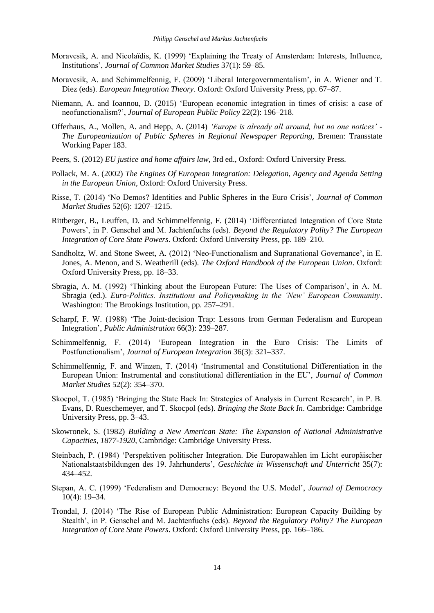- Moravcsik, A. and Nicolaïdis, K. (1999) 'Explaining the Treaty of Amsterdam: Interests, Influence, Institutions', *Journal of Common Market Studies* 37(1): 59–85.
- Moravcsik, A. and Schimmelfennig, F. (2009) 'Liberal Intergovernmentalism', in A. Wiener and T. Diez (eds). *European Integration Theory*. Oxford: Oxford University Press, pp. 67–87.
- Niemann, A. and Ioannou, D. (2015) 'European economic integration in times of crisis: a case of neofunctionalism?', *Journal of European Public Policy* 22(2): 196–218.
- Offerhaus, A., Mollen, A. and Hepp, A. (2014) *'Europe is already all around, but no one notices' - The Europeanization of Public Spheres in Regional Newspaper Reporting*, Bremen: Transstate Working Paper 183.
- Peers, S. (2012) *EU justice and home affairs law*, 3rd ed., Oxford: Oxford University Press.
- Pollack, M. A. (2002) *The Engines Of European Integration: Delegation, Agency and Agenda Setting in the European Union*, Oxford: Oxford University Press.
- Risse, T. (2014) 'No Demos? Identities and Public Spheres in the Euro Crisis', *Journal of Common Market Studies* 52(6): 1207–1215.
- Rittberger, B., Leuffen, D. and Schimmelfennig, F. (2014) 'Differentiated Integration of Core State Powers', in P. Genschel and M. Jachtenfuchs (eds). *Beyond the Regulatory Polity? The European Integration of Core State Powers*. Oxford: Oxford University Press, pp. 189–210.
- Sandholtz, W. and Stone Sweet, A. (2012) 'Neo-Functionalism and Supranational Governance', in E. Jones, A. Menon, and S. Weatherill (eds). *The Oxford Handbook of the European Union*. Oxford: Oxford University Press, pp. 18–33.
- Sbragia, A. M. (1992) 'Thinking about the European Future: The Uses of Comparison', in A. M. Sbragia (ed.). *Euro-Politics. Institutions and Policymaking in the 'New' European Community*. Washington: The Brookings Institution, pp. 257–291.
- Scharpf, F. W. (1988) 'The Joint-decision Trap: Lessons from German Federalism and European Integration', *Public Administration* 66(3): 239–287.
- Schimmelfennig, F. (2014) 'European Integration in the Euro Crisis: The Limits of Postfunctionalism', *Journal of European Integration* 36(3): 321–337.
- Schimmelfennig, F. and Winzen, T. (2014) 'Instrumental and Constitutional Differentiation in the European Union: Instrumental and constitutional differentiation in the EU', *Journal of Common Market Studies* 52(2): 354–370.
- Skocpol, T. (1985) 'Bringing the State Back In: Strategies of Analysis in Current Research', in P. B. Evans, D. Rueschemeyer, and T. Skocpol (eds). *Bringing the State Back In*. Cambridge: Cambridge University Press, pp. 3–43.
- Skowronek, S. (1982) *Building a New American State: The Expansion of National Administrative Capacities, 1877-1920*, Cambridge: Cambridge University Press.
- Steinbach, P. (1984) 'Perspektiven politischer Integration. Die Europawahlen im Licht europäischer Nationalstaatsbildungen des 19. Jahrhunderts', *Geschichte in Wissenschaft und Unterricht* 35(7): 434–452.
- Stepan, A. C. (1999) 'Federalism and Democracy: Beyond the U.S. Model', *Journal of Democracy* 10(4): 19–34.
- Trondal, J. (2014) 'The Rise of European Public Administration: European Capacity Building by Stealth', in P. Genschel and M. Jachtenfuchs (eds). *Beyond the Regulatory Polity? The European Integration of Core State Powers*. Oxford: Oxford University Press, pp. 166–186.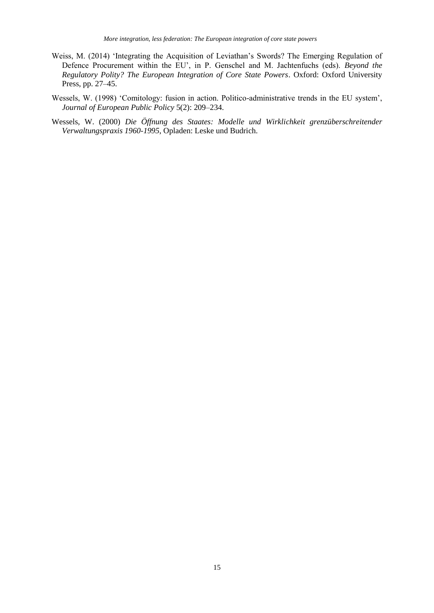- Weiss, M. (2014) 'Integrating the Acquisition of Leviathan's Swords? The Emerging Regulation of Defence Procurement within the EU', in P. Genschel and M. Jachtenfuchs (eds). *Beyond the Regulatory Polity? The European Integration of Core State Powers*. Oxford: Oxford University Press, pp. 27–45.
- Wessels, W. (1998) 'Comitology: fusion in action. Politico-administrative trends in the EU system', *Journal of European Public Policy* 5(2): 209–234.
- Wessels, W. (2000) *Die Öffnung des Staates: Modelle und Wirklichkeit grenzüberschreitender Verwaltungspraxis 1960-1995*, Opladen: Leske und Budrich.